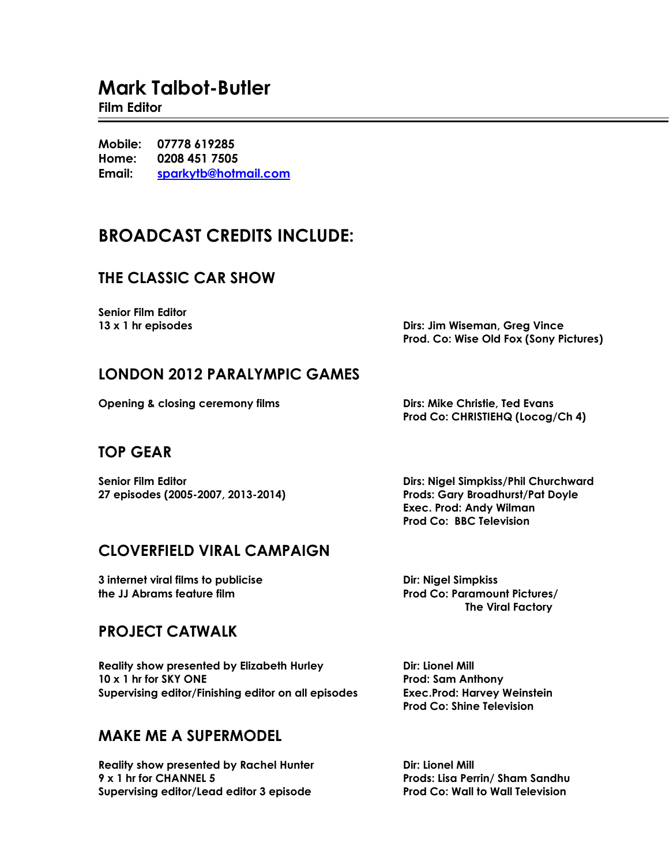# **Mark Talbot-Butler**

#### **Film Editor**

**Mobile: 07778 619285 Home: 0208 451 7505 Email: [sparkytb@hotmail.com](mailto:sparkytb@hotmail.com)**

# **BROADCAST CREDITS INCLUDE:**

# **THE CLASSIC CAR SHOW**

**Senior Film Editor**

**13 x 1 hr episodes Dirs: Jim Wiseman, Greg Vince Prod. Co: Wise Old Fox (Sony Pictures)**

### **LONDON 2012 PARALYMPIC GAMES**

**Opening & closing ceremony films Dirs: Mike Christie, Ted Evans**

**Prod Co: CHRISTIEHQ (Locog/Ch 4)**

### **TOP GEAR**

**27 episodes (2005-2007, 2013-2014) Prods: Gary Broadhurst/Pat Doyle**

**Senior Film Editor Dirs: Nigel Simpkiss/Phil Churchward Exec. Prod: Andy Wilman Prod Co: BBC Television**

### **CLOVERFIELD VIRAL CAMPAIGN**

**3 internet viral films to publicise Dir: Nigel Simpkiss the JJ Abrams feature film Prod Co: Paramount Pictures/**

### **PROJECT CATWALK**

**Reality show presented by Elizabeth Hurley <b>Dir: Lionel Mill 10 x 1 hr for SKY ONE Prod: Sam Anthony Supervising editor/Finishing editor on all episodes Exec.Prod: Harvey Weinstein**

### **MAKE ME A SUPERMODEL**

**Reality show presented by Rachel Hunter <b>Diriculary** Dir: Lionel Mill **9 x 1 hr for CHANNEL 5 Prods: Lisa Perrin/ Sham Sandhu Supervising editor/Lead editor 3 episode Prod Co: Wall to Wall Television**

 **The Viral Factory**

**Prod Co: Shine Television**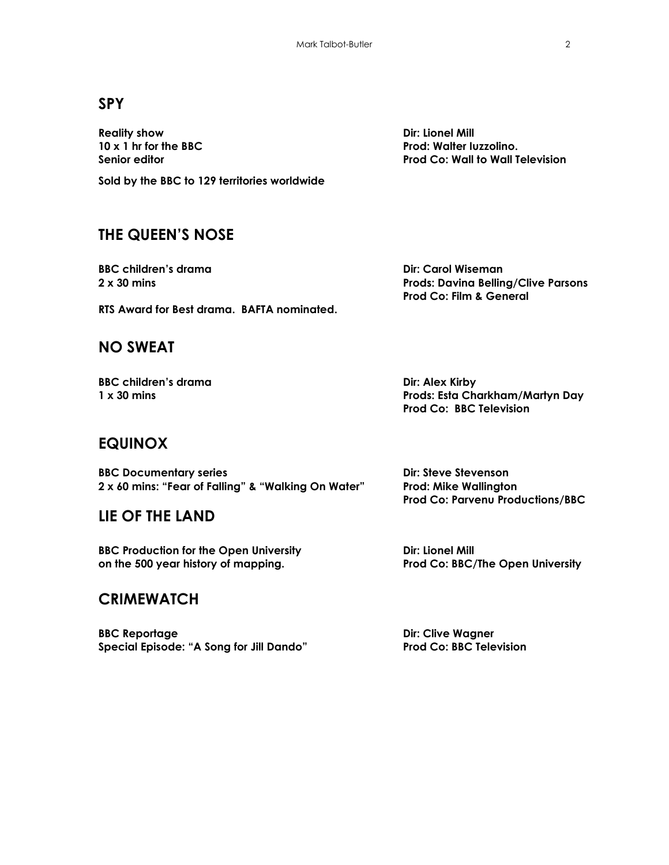### **SPY**

**Reality show Dir: Lionel Mill**

**Sold by the BBC to 129 territories worldwide**

## **THE QUEEN'S NOSE**

**BBC children's drama Dir: Carol Wiseman** 

**RTS Award for Best drama. BAFTA nominated.**

### **NO SWEAT**

**BBC children's drama Dir: Alex Kirby** 

**Prod Co: BBC Television**

### **EQUINOX**

**BBC Documentary series Dir: Steve Stevenson 2 x 60 mins: "Fear of Falling" & "Walking On Water" Prod: Mike Wallington**

### **LIE OF THE LAND**

**BBC Production for the Open University Dir: Lionel Mill on the 500 year history of mapping. Prod Co: BBC/The Open University**

### **CRIMEWATCH**

**BBC Reportage Dir: Clive Wagner Special Episode: "A Song for Jill Dando" Prod Co: BBC Television**

**2 x 30 mins Prods: Davina Belling/Clive Parsons Prod Co: Film & General**

**1 x 30 mins Prods: Esta Charkham/Martyn Day**

**Prod Co: Parvenu Productions/BBC**

**10 x 1 hr for the BBC Prod: Walter Iuzzolino. Senior editor Prod Co: Wall to Wall Television**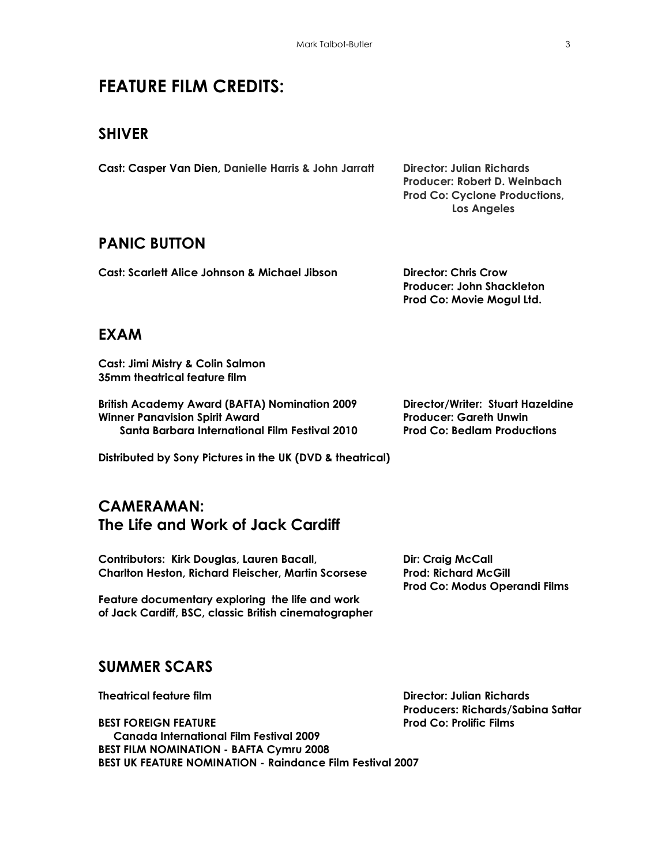# **FEATURE FILM CREDITS:**

### **SHIVER**

| Cast: Casper Van Dien, Danielle Harris & John Jarratt | Director: Julian Richards            |
|-------------------------------------------------------|--------------------------------------|
|                                                       | Producer: Robert D. Weinbach         |
|                                                       | <b>Prod Co: Cyclone Productions,</b> |
|                                                       | Los Angeles                          |

### **PANIC BUTTON**

| <b>Cast: Scarlett Alice Johnson &amp; Michael Jibson</b> | Director: Chris Crow      |
|----------------------------------------------------------|---------------------------|
|                                                          | Producer: John Shackleton |
|                                                          | Prod Co: Movie Mogul Ltd. |

### **EXAM**

**Cast: Jimi Mistry & Colin Salmon 35mm theatrical feature film**

**British Academy Award (BAFTA) Nomination 2009 Director/Writer: Stuart Hazeldine Winner Panavision Spirit Award Producer: Gareth Unwin Santa Barbara International Film Festival 2010 Prod Co: Bedlam Productions**

**Distributed by Sony Pictures in the UK (DVD & theatrical)**

### **CAMERAMAN: The Life and Work of Jack Cardiff**

**Contributors: Kirk Douglas, Lauren Bacall, Dir: Craig McCall Charlton Heston, Richard Fleischer, Martin Scorsese Prod: Richard McGill**

**Feature documentary exploring the life and work of Jack Cardiff, BSC, classic British cinematographer**

**Prod Co: Modus Operandi Films**

### **SUMMER SCARS**

**Theatrical feature film Director: Julian Richards**

**Producers: Richards/Sabina Sattar**

**BEST FOREIGN FEATURE Prod Co: Prolific Films Canada International Film Festival 2009 BEST FILM NOMINATION - BAFTA Cymru 2008 BEST UK FEATURE NOMINATION - Raindance Film Festival 2007**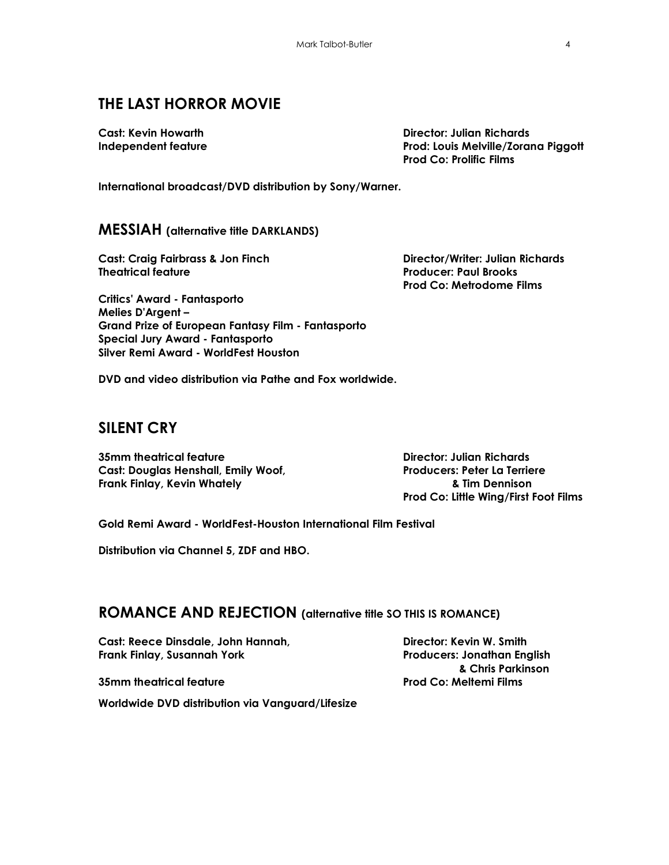# **THE LAST HORROR MOVIE**

**Cast: Kevin Howarth Director: Julian Richards Independent feature Prod: Louis Melville/Zorana Piggott Prod Co: Prolific Films**

**International broadcast/DVD distribution by Sony/Warner.**

#### **MESSIAH (alternative title DARKLANDS)**

**Cast: Craig Fairbrass & Jon Finch Director/Writer: Julian Richards Theatrical feature Producer: Paul Brooks**

**Prod Co: Metrodome Films**

**Critics' Award - Fantasporto Melies D'Argent – Grand Prize of European Fantasy Film - Fantasporto Special Jury Award - Fantasporto Silver Remi Award - WorldFest Houston** 

**DVD and video distribution via Pathe and Fox worldwide.**

### **SILENT CRY**

**35mm theatrical feature Director: Julian Richards Cast: Douglas Henshall, Emily Woof, Producers: Peter La Terriere Frank Finlay, Kevin Whately & Tim Dennison**

**Prod Co: Little Wing/First Foot Films**

**Gold Remi Award - [WorldFest-Houston International Film Festival](http://en.wikipedia.org/wiki/WorldFest-Houston_International_Film_Festival)**

**Distribution via Channel 5, ZDF and HBO.**

#### **ROMANCE AND REJECTION (alternative title SO THIS IS ROMANCE)**

**Cast: Reece Dinsdale, John Hannah, Director: Kevin W. Smith Frank Finlay, Susannah York Producers: Jonathan English**

**Worldwide DVD distribution via Vanguard/Lifesize**

 **& Chris Parkinson 35mm theatrical feature Prod Co: Meltemi Films**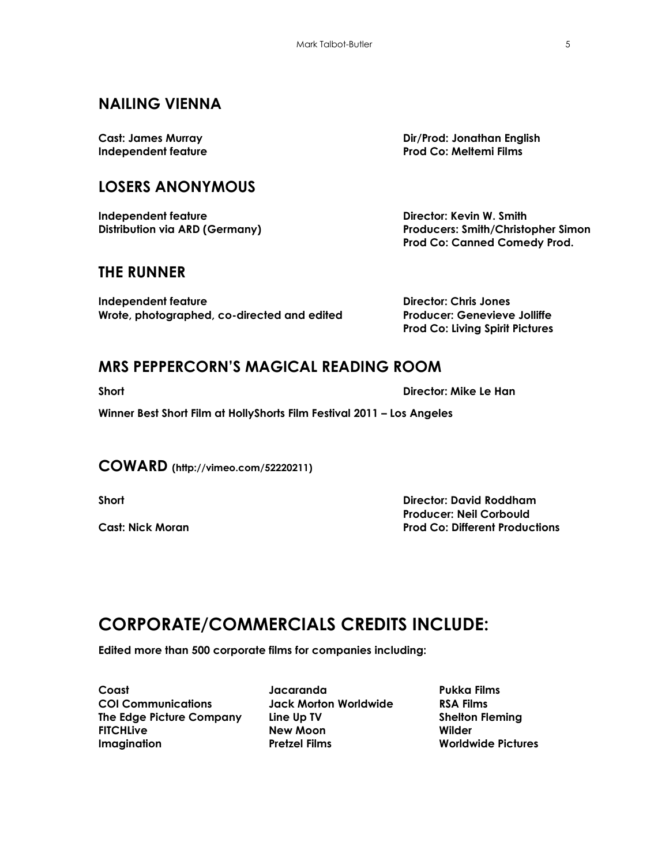# **NAILING VIENNA**

## **LOSERS ANONYMOUS**

**Independent feature Director: Kevin W. Smith**

### **THE RUNNER**

**Independent feature Director: Chris Jones Wrote, photographed, co-directed and edited Producer: Genevieve Jolliffe**

**Cast: James Murray Dir/Prod: Jonathan English Independent feature Prod Co: Meltemi Films**

**Distribution via ARD (Germany) Producers: Smith/Christopher Simon Prod Co: Canned Comedy Prod.**

**Prod Co: Living Spirit Pictures**

### **MRS PEPPERCORN'S MAGICAL READING ROOM**

**Short Director: Mike Le Han**

**Winner Best Short Film at HollyShorts Film Festival 2011 – Los Angeles**

**COWARD (http://vimeo.com/52220211)**

**Short Director: David Roddham Producer: Neil Corbould Cast: Nick Moran Prod Co: Different Productions**

# **CORPORATE/COMMERCIALS CREDITS INCLUDE:**

**Edited more than 500 corporate films for companies including:**

**Coast COI Communications The Edge Picture Company FITCHLive Imagination**

**Jacaranda Jack Morton Worldwide Line Up TV New Moon Pretzel Films**

**Pukka Films RSA Films Shelton Fleming Wilder Worldwide Pictures**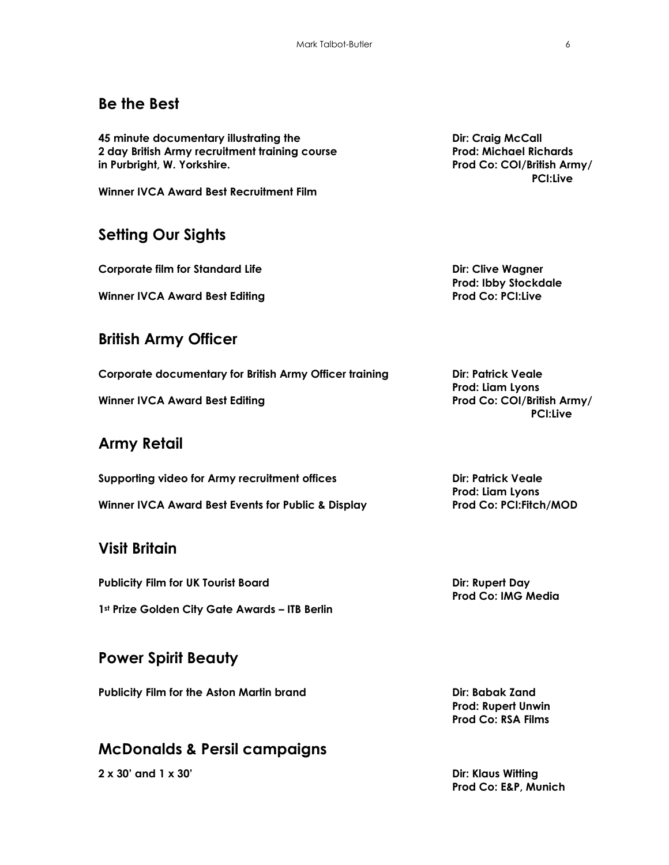# **Be the Best**

**45 minute documentary illustrating the Dir: Craig McCall 2 day British Army recruitment training course Prod: Michael Richards in Purbright, W. Yorkshire. Prod Co: COI/British Army/**

**Winner IVCA Award Best Recruitment Film**

# **Setting Our Sights**

**Corporate film for Standard Life <b>Dirichler Diricular Standard Life Diricular Standard Life** 

**Winner IVCA Award Best Editing Prod Co: PCI:Live**

### **British Army Officer**

**Corporate documentary for British Army Officer training Dir: Patrick Veale** 

**Winner IVCA Award Best Editing Prod Co: COI/British Army/**

# **Army Retail**

**Supporting video for Army recruitment offices Dir: Patrick Veale**

# **Visit Britain**

**Publicity Film for UK Tourist Board Dir: Rupert Day 1st Prize Golden City Gate Awards – ITB Berlin**

# **Power Spirit Beauty**

**Publicity Film for the Aston Martin brand Dir: Babak Zand**

### **McDonalds & Persil campaigns**

**2 x 30' and 1 x 30' Dir: Klaus Witting**

 **PCI:Live**

**Prod: Ibby Stockdale**

**Prod: Liam Lyons PCI:Live**

**Prod: Liam Lyons Winner IVCA Award Best Events for Public & Display Prod Co: PCI:Fitch/MOD**

**Prod Co: IMG Media**

**Prod: Rupert Unwin Prod Co: RSA Films**

**Prod Co: E&P, Munich**